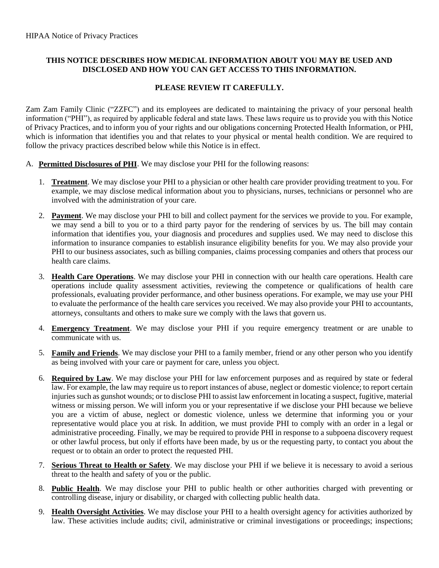## **THIS NOTICE DESCRIBES HOW MEDICAL INFORMATION ABOUT YOU MAY BE USED AND DISCLOSED AND HOW YOU CAN GET ACCESS TO THIS INFORMATION.**

## **PLEASE REVIEW IT CAREFULLY.**

Zam Zam Family Clinic ("ZZFC") and its employees are dedicated to maintaining the privacy of your personal health information ("PHI"), as required by applicable federal and state laws. These laws require us to provide you with this Notice of Privacy Practices, and to inform you of your rights and our obligations concerning Protected Health Information, or PHI, which is information that identifies you and that relates to your physical or mental health condition. We are required to follow the privacy practices described below while this Notice is in effect.

- A. **Permitted Disclosures of PHI**. We may disclose your PHI for the following reasons:
	- 1. **Treatment**. We may disclose your PHI to a physician or other health care provider providing treatment to you. For example, we may disclose medical information about you to physicians, nurses, technicians or personnel who are involved with the administration of your care.
	- 2. **Payment**. We may disclose your PHI to bill and collect payment for the services we provide to you. For example, we may send a bill to you or to a third party payor for the rendering of services by us. The bill may contain information that identifies you, your diagnosis and procedures and supplies used. We may need to disclose this information to insurance companies to establish insurance eligibility benefits for you. We may also provide your PHI to our business associates, such as billing companies, claims processing companies and others that process our health care claims.
	- 3. **Health Care Operations**. We may disclose your PHI in connection with our health care operations. Health care operations include quality assessment activities, reviewing the competence or qualifications of health care professionals, evaluating provider performance, and other business operations. For example, we may use your PHI to evaluate the performance of the health care services you received. We may also provide your PHI to accountants, attorneys, consultants and others to make sure we comply with the laws that govern us.
	- 4. **Emergency Treatment**. We may disclose your PHI if you require emergency treatment or are unable to communicate with us.
	- 5. **Family and Friends**. We may disclose your PHI to a family member, friend or any other person who you identify as being involved with your care or payment for care, unless you object.
	- 6. **Required by Law**. We may disclose your PHI for law enforcement purposes and as required by state or federal law. For example, the law may require us to report instances of abuse, neglect or domestic violence; to report certain injuries such as gunshot wounds; or to disclose PHI to assist law enforcement in locating a suspect, fugitive, material witness or missing person. We will inform you or your representative if we disclose your PHI because we believe you are a victim of abuse, neglect or domestic violence, unless we determine that informing you or your representative would place you at risk. In addition, we must provide PHI to comply with an order in a legal or administrative proceeding. Finally, we may be required to provide PHI in response to a subpoena discovery request or other lawful process, but only if efforts have been made, by us or the requesting party, to contact you about the request or to obtain an order to protect the requested PHI.
	- 7. **Serious Threat to Health or Safety**. We may disclose your PHI if we believe it is necessary to avoid a serious threat to the health and safety of you or the public.
	- 8. **Public Health**. We may disclose your PHI to public health or other authorities charged with preventing or controlling disease, injury or disability, or charged with collecting public health data.
	- 9. **Health Oversight Activities**. We may disclose your PHI to a health oversight agency for activities authorized by law. These activities include audits; civil, administrative or criminal investigations or proceedings; inspections;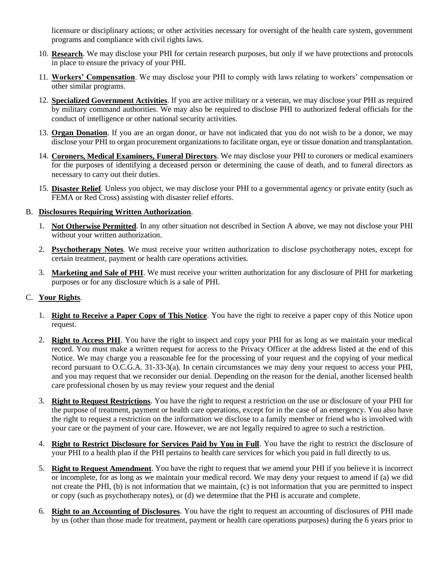licensure or disciplinary actions; or other activities necessary for oversight of the health care system, government programs and compliance with civil rights laws.

- 10. **Research**. We may disclose your PHI for certain research purposes, but only if we have protections and protocols in place to ensure the privacy of your PHI.
- 11. **Workers' Compensation**. We may disclose your PHI to comply with laws relating to workers' compensation or other similar programs.
- 12. **Specialized Government Activities**. If you are active military or a veteran, we may disclose your PHI as required by military command authorities. We may also be required to disclose PHI to authorized federal officials for the conduct of intelligence or other national security activities.
- 13. **Organ Donation**. If you are an organ donor, or have not indicated that you do not wish to be a donor, we may disclose your PHI to organ procurement organizations to facilitate organ, eye or tissue donation and transplantation.
- 14. **Coroners, Medical Examiners, Funeral Directors**. We may disclose your PHI to coroners or medical examiners for the purposes of identifying a deceased person or determining the cause of death, and to funeral directors as necessary to carry out their duties.
- 15. **Disaster Relief**. Unless you object, we may disclose your PHI to a governmental agency or private entity (such as FEMA or Red Cross) assisting with disaster relief efforts.

## B. **Disclosures Requiring Written Authorization**.

- 1. **Not Otherwise Permitted**. In any other situation not described in Section A above, we may not disclose your PHI without your written authorization.
- 2. **Psychotherapy Notes**. We must receive your written authorization to disclose psychotherapy notes, except for certain treatment, payment or health care operations activities.
- 3. **Marketing and Sale of PHI**. We must receive your written authorization for any disclosure of PHI for marketing purposes or for any disclosure which is a sale of PHI.

## C. **Your Rights**.

- 1. **Right to Receive a Paper Copy of This Notice**. You have the right to receive a paper copy of this Notice upon request.
- 2. **Right to Access PHI**. You have the right to inspect and copy your PHI for as long as we maintain your medical record. You must make a written request for access to the Privacy Officer at the address listed at the end of this Notice. We may charge you a reasonable fee for the processing of your request and the copying of your medical record pursuant to O.C.G.A. 31-33-3(a). In certain circumstances we may deny your request to access your PHI, and you may request that we reconsider our denial. Depending on the reason for the denial, another licensed health care professional chosen by us may review your request and the denial
- 3. **Right to Request Restrictions**. You have the right to request a restriction on the use or disclosure of your PHI for the purpose of treatment, payment or health care operations, except for in the case of an emergency. You also have the right to request a restriction on the information we disclose to a family member or friend who is involved with your care or the payment of your care. However, we are not legally required to agree to such a restriction.
- 4. **Right to Restrict Disclosure for Services Paid by You in Full**. You have the right to restrict the disclosure of your PHI to a health plan if the PHI pertains to health care services for which you paid in full directly to us.
- 5. **Right to Request Amendment**. You have the right to request that we amend your PHI if you believe it is incorrect or incomplete, for as long as we maintain your medical record. We may deny your request to amend if (a) we did not create the PHI, (b) is not information that we maintain, (c) is not information that you are permitted to inspect or copy (such as psychotherapy notes), or (d) we determine that the PHI is accurate and complete.
- 6. **Right to an Accounting of Disclosures**. You have the right to request an accounting of disclosures of PHI made by us (other than those made for treatment, payment or health care operations purposes) during the 6 years prior to